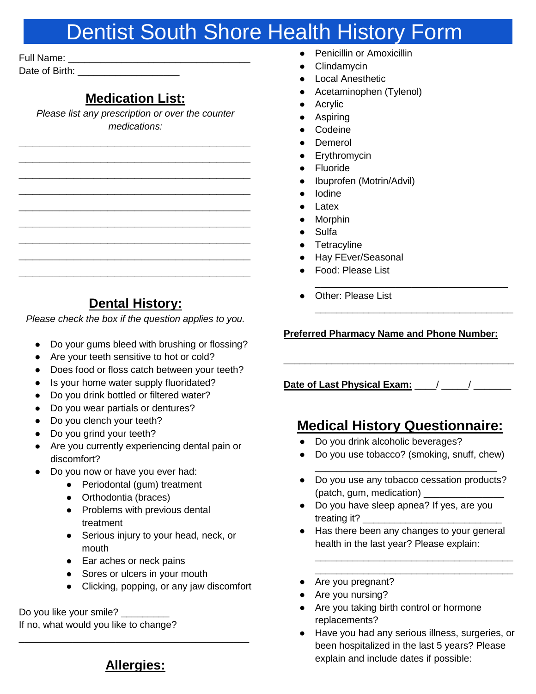## Dentist South Shore Health History Form

Full Name: \_\_\_\_\_\_\_\_\_\_\_\_\_\_\_\_\_\_\_\_\_\_\_\_\_\_\_\_\_\_\_\_\_\_ Date of Birth: **Example 20** 

### **Medication List:**

*Please list any prescription or over the counter medications:* 

*\_\_\_\_\_\_\_\_\_\_\_\_\_\_\_\_\_\_\_\_\_\_\_\_\_\_\_\_\_\_\_\_\_\_ \_\_\_\_\_\_\_\_\_\_\_\_\_\_\_\_\_\_\_\_\_\_\_\_\_\_\_\_\_\_\_\_\_\_ \_\_\_\_\_\_\_\_\_\_\_\_\_\_\_\_\_\_\_\_\_\_\_\_\_\_\_\_\_\_\_\_\_\_ \_\_\_\_\_\_\_\_\_\_\_\_\_\_\_\_\_\_\_\_\_\_\_\_\_\_\_\_\_\_\_\_\_\_ \_\_\_\_\_\_\_\_\_\_\_\_\_\_\_\_\_\_\_\_\_\_\_\_\_\_\_\_\_\_\_\_\_\_ \_\_\_\_\_\_\_\_\_\_\_\_\_\_\_\_\_\_\_\_\_\_\_\_\_\_\_\_\_\_\_\_\_\_ \_\_\_\_\_\_\_\_\_\_\_\_\_\_\_\_\_\_\_\_\_\_\_\_\_\_\_\_\_\_\_\_\_\_ \_\_\_\_\_\_\_\_\_\_\_\_\_\_\_\_\_\_\_\_\_\_\_\_\_\_\_\_\_\_\_\_\_\_ \_\_\_\_\_\_\_\_\_\_\_\_\_\_\_\_\_\_\_\_\_\_\_\_\_\_\_\_\_\_\_\_\_\_*

|  | Clindamycin |
|--|-------------|
|  |             |

- **Local Anesthetic**
- Acetaminophen (Tylenol)

**Penicillin or Amoxicillin** 

- Acrylic
- Aspiring
- Codeine
- Demerol
- Erythromycin
- **Fluoride**
- Ibuprofen (Motrin/Advil)
- Iodine
- Latex
- **Morphin**
- Sulfa
- Tetracyline
- Hay FEver/Seasonal
- Food: Please List
- Other: Please List

#### **Preferred Pharmacy Name and Phone Number:**

\_\_\_\_\_\_\_\_\_\_\_\_\_\_\_\_\_\_\_\_\_\_\_\_\_\_\_\_\_\_\_\_\_\_\_\_

\_\_\_\_\_\_\_\_\_\_\_\_\_\_\_\_\_\_\_\_\_\_\_\_\_\_\_\_\_\_\_\_\_\_\_\_\_

● Do your gums bleed with brushing or flossing?

**Dental History:**  *Please check the box if the question applies to you.*

- Are your teeth sensitive to hot or cold?
- Does food or floss catch between your teeth?
- Is your home water supply fluoridated?
- Do you drink bottled or filtered water?
- Do you wear partials or dentures?
- Do you clench your teeth?
- Do you grind your teeth?
- Are you currently experiencing dental pain or discomfort?
- Do you now or have you ever had:
	- Periodontal (gum) treatment
	- Orthodontia (braces)
	- Problems with previous dental treatment
	- Serious injury to your head, neck, or mouth
	- Ear aches or neck pains
	- Sores or ulcers in your mouth
	- Clicking, popping, or any jaw discomfort

Do you like your smile?

If no, what would you like to change?

### **Date of Last Physical Exam:** \_\_\_\_/ \_\_\_\_\_/ \_\_\_\_\_\_\_

\_\_\_\_\_\_\_\_\_\_\_\_\_\_\_\_\_\_\_\_\_\_\_\_\_\_\_\_\_\_\_\_\_\_\_\_\_\_\_\_\_\_\_

### **Medical History Questionnaire:**

- Do you drink alcoholic beverages?
- Do you use tobacco? (smoking, snuff, chew) \_\_\_\_\_\_\_\_\_\_\_\_\_\_\_\_\_\_\_\_\_\_\_\_\_\_\_\_\_\_\_\_\_\_
- Do you use any tobacco cessation products? (patch, gum, medication) \_\_\_\_\_\_\_\_\_\_\_\_\_\_\_
- Do you have sleep apnea? If yes, are you treating it? \_\_\_\_\_\_\_\_\_\_\_\_\_\_\_\_\_\_\_\_\_\_\_\_\_\_
- Has there been any changes to your general health in the last year? Please explain:

\_\_\_\_\_\_\_\_\_\_\_\_\_\_\_\_\_\_\_\_\_\_\_\_\_\_\_\_\_\_\_\_\_\_\_\_\_ \_\_\_\_\_\_\_\_\_\_\_\_\_\_\_\_\_\_\_\_\_\_\_\_\_\_\_\_\_\_\_\_\_\_\_\_\_

- Are you pregnant?
- Are you nursing?
- Are you taking birth control or hormone replacements?
- Have you had any serious illness, surgeries, or been hospitalized in the last 5 years? Please explain and include dates if possible:

**Allergies:**

# \_\_\_\_\_\_\_\_\_\_\_\_\_\_\_\_\_\_\_\_\_\_\_\_\_\_\_\_\_\_\_\_\_\_\_\_\_\_\_\_\_\_\_